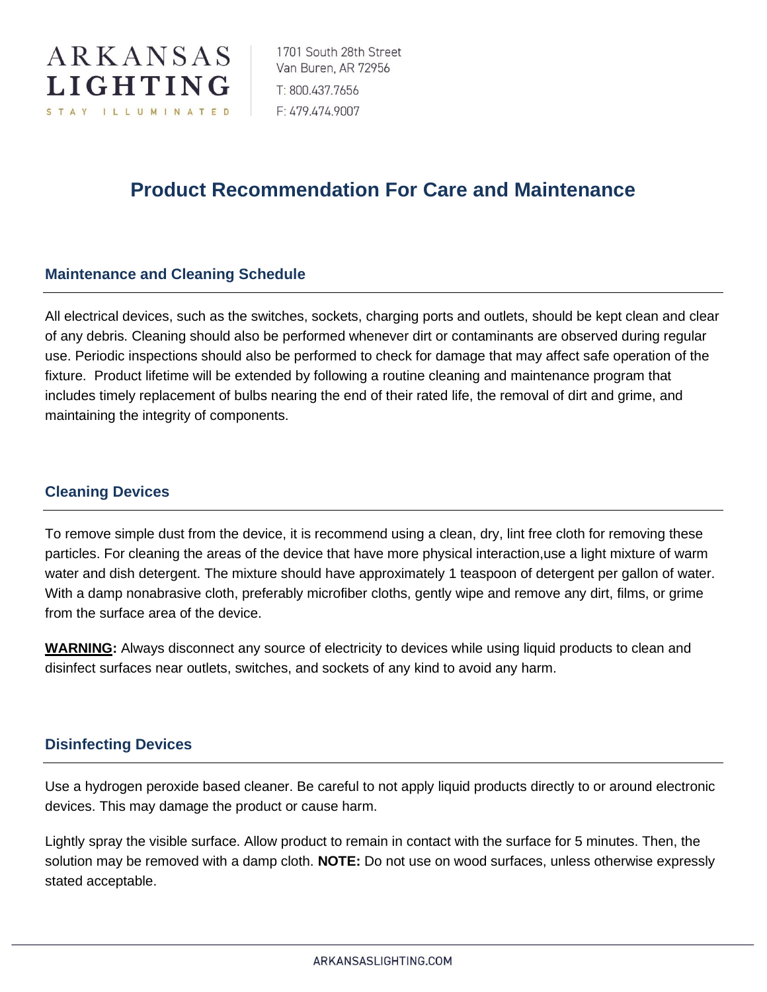

# **Product Recommendation For Care and Maintenance**

### **Maintenance and Cleaning Schedule**

All electrical devices, such as the switches, sockets, charging ports and outlets, should be kept clean and clear of any debris. Cleaning should also be performed whenever dirt or contaminants are observed during regular use. Periodic inspections should also be performed to check for damage that may affect safe operation of the fixture. Product lifetime will be extended by following a routine cleaning and maintenance program that includes timely replacement of bulbs nearing the end of their rated life, the removal of dirt and grime, and maintaining the integrity of components.

#### **Cleaning Devices**

To remove simple dust from the device, it is recommend using a clean, dry, lint free cloth for removing these particles. For cleaning the areas of the device that have more physical interaction,use a light mixture of warm water and dish detergent. The mixture should have approximately 1 teaspoon of detergent per gallon of water. With a damp nonabrasive cloth, preferably microfiber cloths, gently wipe and remove any dirt, films, or grime from the surface area of the device.

**WARNING:** Always disconnect any source of electricity to devices while using liquid products to clean and disinfect surfaces near outlets, switches, and sockets of any kind to avoid any harm.

### **Disinfecting Devices**

Use a hydrogen peroxide based cleaner. Be careful to not apply liquid products directly to or around electronic devices. This may damage the product or cause harm.

Lightly spray the visible surface. Allow product to remain in contact with the surface for 5 minutes. Then, the solution may be removed with a damp cloth. **NOTE:** Do not use on wood surfaces, unless otherwise expressly stated acceptable.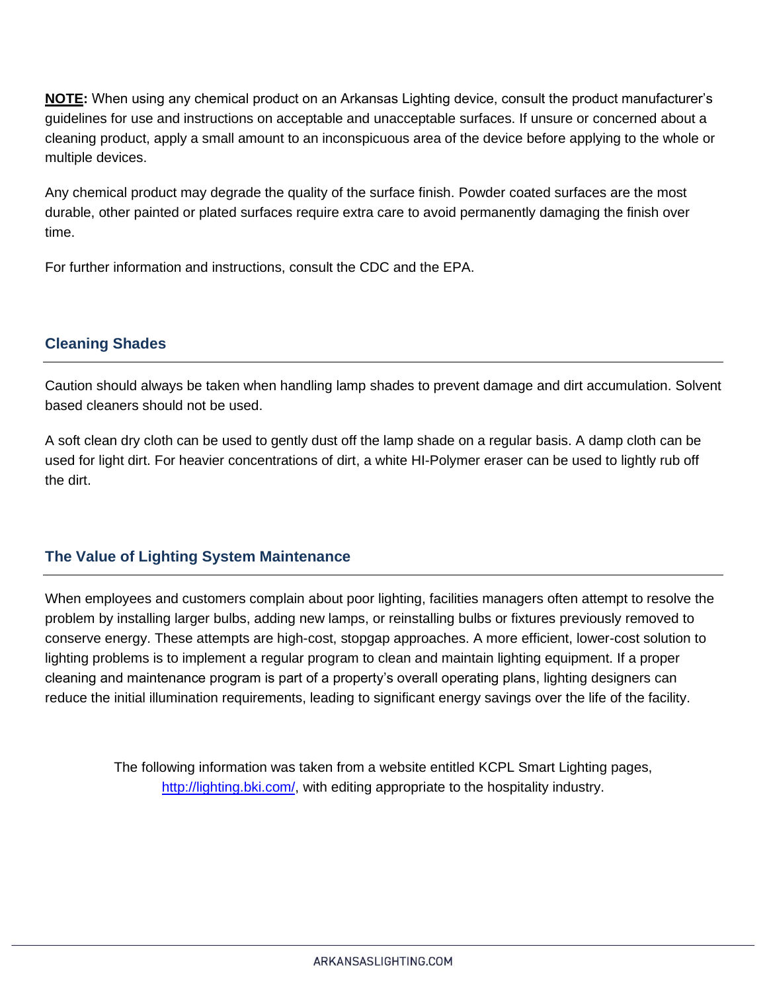**NOTE:** When using any chemical product on an Arkansas Lighting device, consult the product manufacturer's guidelines for use and instructions on acceptable and unacceptable surfaces. If unsure or concerned about a cleaning product, apply a small amount to an inconspicuous area of the device before applying to the whole or multiple devices.

Any chemical product may degrade the quality of the surface finish. Powder coated surfaces are the most durable, other painted or plated surfaces require extra care to avoid permanently damaging the finish over time.

For further information and instructions, consult the CDC and the EPA.

# **Cleaning Shades**

Caution should always be taken when handling lamp shades to prevent damage and dirt accumulation. Solvent based cleaners should not be used.

A soft clean dry cloth can be used to gently dust off the lamp shade on a regular basis. A damp cloth can be used for light dirt. For heavier concentrations of dirt, a white HI-Polymer eraser can be used to lightly rub off the dirt.

## **The Value of Lighting System Maintenance**

When employees and customers complain about poor lighting, facilities managers often attempt to resolve the problem by installing larger bulbs, adding new lamps, or reinstalling bulbs or fixtures previously removed to conserve energy. These attempts are high-cost, stopgap approaches. A more efficient, lower-cost solution to lighting problems is to implement a regular program to clean and maintain lighting equipment. If a proper cleaning and maintenance program is part of a property's overall operating plans, lighting designers can reduce the initial illumination requirements, leading to significant energy savings over the life of the facility.

> The following information was taken from a website entitled KCPL Smart Lighting pages, [http://lighting.bki.com/,](http://lighting.bki.com/) with editing appropriate to the hospitality industry.